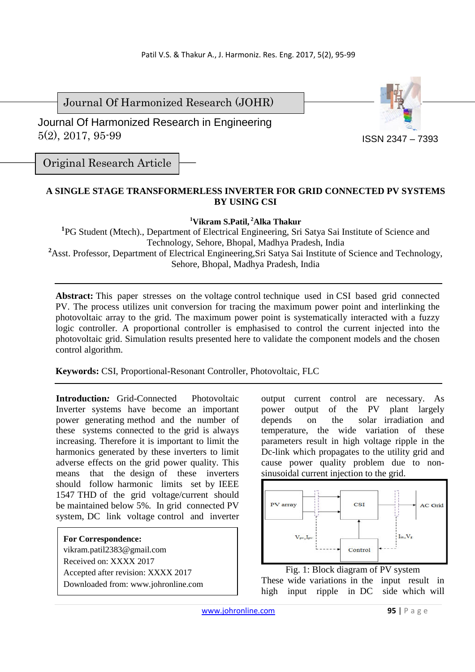Journal Of Harmonized Research (JOHR)

 Journal Of Harmonized Research in Engineering 5(2), 2017, 95-99



Original Research Article

# **A SINGLE STAGE TRANSFORMERLESS INVERTER FOR GRID CONNECTED PV SYSTEMS BY USING CSI**

**<sup>1</sup>Vikram S.Patil,<sup>2</sup>Alka Thakur** 

<sup>1</sup>PG Student (Mtech)., Department of Electrical Engineering, Sri Satya Sai Institute of Science and Technology, Sehore, Bhopal, Madhya Pradesh, India <sup>2</sup>Asst. Professor, Department of Electrical Engineering,Sri Satya Sai Institute of Science and Technology, Sehore, Bhopal, Madhya Pradesh, India

**Abstract:** This paper stresses on the voltage control technique used in CSI based grid connected PV. The process utilizes unit conversion for tracing the maximum power point and interlinking the photovoltaic array to the grid. The maximum power point is systematically interacted with a fuzzy logic controller. A proportional controller is emphasised to control the current injected into the photovoltaic grid. Simulation results presented here to validate the component models and the chosen control algorithm.

**Keywords:** CSI, Proportional-Resonant Controller, Photovoltaic, FLC

**Introduction***:* Grid-Connected Photovoltaic Inverter systems have become an important power generating method and the number of these systems connected to the grid is always increasing. Therefore it is important to limit the harmonics generated by these inverters to limit adverse effects on the grid power quality. This means that the design of these inverters should follow harmonic limits set by IEEE 1547 THD of the grid voltage/current should be maintained below 5%. In grid connected PV system, DC link voltage control and inverter

**For Correspondence:**  vikram.patil2383@gmail.com Received on: XXXX 2017 Accepted after revision: XXXX 2017 Downloaded from: www.johronline.com output current control are necessary. As power output of the PV plant largely depends on the solar irradiation and temperature, the wide variation of these parameters result in high voltage ripple in the Dc-link which propagates to the utility grid and cause power quality problem due to nonsinusoidal current injection to the grid.



Fig. 1: Block diagram of PV system These wide variations in the input result in high input ripple in DC side which will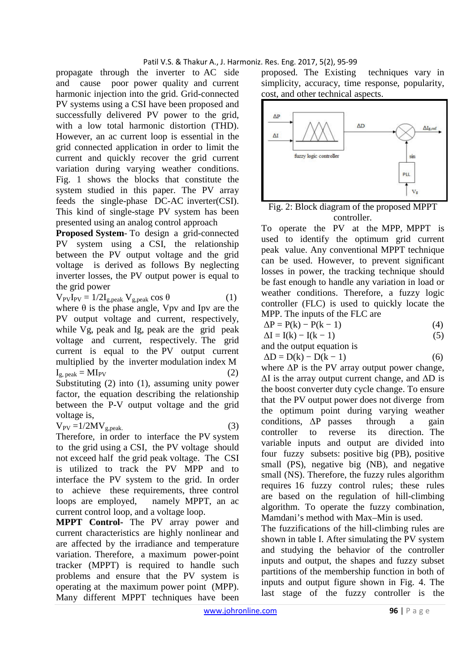### Patil V.S. & Thakur A., J. Harmoniz. Res. Eng. 2017, 5(2), 95-99

propagate through the inverter to AC side and cause poor power quality and current harmonic injection into the grid. Grid-connected PV systems using a CSI have been proposed and successfully delivered PV power to the grid, with a low total harmonic distortion (THD). However, an ac current loop is essential in the grid connected application in order to limit the current and quickly recover the grid current variation during varying weather conditions. Fig. 1 shows the blocks that constitute the system studied in this paper. The PV array feeds the single-phase DC-AC inverter(CSI). This kind of single-stage PV system has been presented using an analog control approach

**Proposed System**- To design a grid-connected PV system using a CSI, the relationship between the PV output voltage and the grid voltage is derived as follows By neglecting inverter losses, the PV output power is equal to the grid power

$$
V_{PV}I_{PV} = 1/2I_{g,peak} V_{g,peak} \cos \theta
$$
 (1)

where  $\theta$  is the phase angle, Vpv and Ipv are the PV output voltage and current, respectively, while Vg, peak and Ig, peak are the grid peak voltage and current, respectively. The grid current is equal to the PV output current multiplied by the inverter modulation index M  $I_{\rm g\ peak} = M I_{\rm PV}$  (2) Substituting (2) into (1), assuming unity power factor, the equation describing the relationship between the P-V output voltage and the grid voltage is,

$$
V_{PV} = 1/2MV_{g,peak.}
$$
 (3)

Therefore, in order to interface the PV system to the grid using a CSI, the PV voltage should not exceed half the grid peak voltage. The CSI is utilized to track the PV MPP and to interface the PV system to the grid. In order to achieve these requirements, three control loops are employed, namely MPPT, an ac current control loop, and a voltage loop.

**MPPT Control-** The PV array power and current characteristics are highly nonlinear and are affected by the irradiance and temperature variation. Therefore, a maximum power-point tracker (MPPT) is required to handle such problems and ensure that the PV system is operating at the maximum power point (MPP). Many different MPPT techniques have been proposed. The Existing techniques vary in simplicity, accuracy, time response, popularity, cost, and other technical aspects.



Fig. 2: Block diagram of the proposed MPPT controller.

To operate the PV at the MPP, MPPT is used to identify the optimum grid current peak value. Any conventional MPPT technique can be used. However, to prevent significant losses in power, the tracking technique should be fast enough to handle any variation in load or weather conditions. Therefore, a fuzzy logic controller (FLC) is used to quickly locate the MPP. The inputs of the FLC are

$$
\Delta P = P(k) - P(k - 1) \tag{4}
$$

 $\Delta I = I(k) - I(k-1)$  (5)

and the output equation is

$$
\Delta D = D(k) - D(k - 1) \tag{6}
$$

where ∆P is the PV array output power change,  $\Delta I$  is the array output current change, and  $\Delta D$  is the boost converter duty cycle change. To ensure that the PV output power does not diverge from the optimum point during varying weather conditions, ∆P passes through a gain controller to reverse its direction. The variable inputs and output are divided into four fuzzy subsets: positive big (PB), positive small (PS), negative big (NB), and negative small (NS). Therefore, the fuzzy rules algorithm requires 16 fuzzy control rules; these rules are based on the regulation of hill-climbing algorithm. To operate the fuzzy combination, Mamdani's method with Max–Min is used.

The fuzzifications of the hill-climbing rules are shown in table I. After simulating the PV system and studying the behavior of the controller inputs and output, the shapes and fuzzy subset partitions of the membership function in both of inputs and output figure shown in Fig. 4. The last stage of the fuzzy controller is the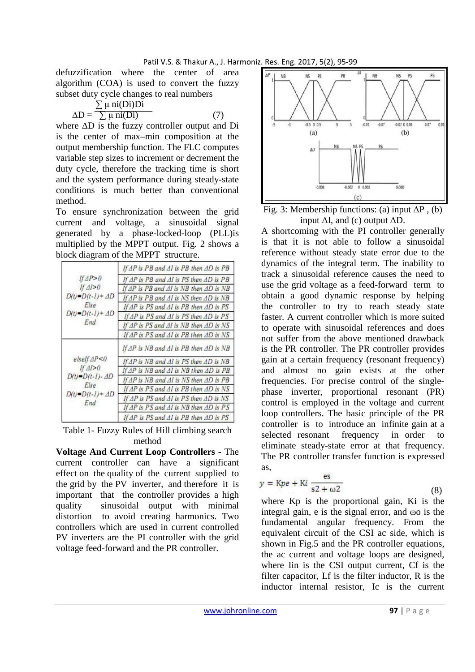defuzzification where the center of area algorithm (COA) is used to convert the fuzzy subset duty cycle changes to real numbers

$$
\Delta D = \frac{\sum \mu \text{ ni}(Di)Di}{\sum \mu \text{ ni}(Di)}
$$
(7)

where ∆D is the fuzzy controller output and Di is the center of max–min composition at the output membership function. The FLC computes variable step sizes to increment or decrement the duty cycle, therefore the tracking time is short and the system performance during steady-state conditions is much better than conventional method.

To ensure synchronization between the grid current and voltage, a sinusoidal signal generated by a phase-locked-loop (PLL)is multiplied by the MPPT output. Fig. 2 shows a block diagram of the MPPT structure.

| HAP > 0<br>If $\Delta l > 0$<br>D(t)=D(t-1)+ AD<br>Else<br>D(i) = D(i - I) + AD<br>End | If AP is PB and AI is PB then AD is PB             |
|----------------------------------------------------------------------------------------|----------------------------------------------------|
|                                                                                        | If AP is PB and AI is PS then AD is PB             |
|                                                                                        | If AP is PB and AI is NB then AD is NB             |
|                                                                                        | If AP is PB and AI is NS then AD is NB             |
|                                                                                        | If $AP$ is PS and $AI$ is PB then $AD$ is PS       |
|                                                                                        | If $AP$ is $PS$ and $AI$ is $PS$ then $AD$ is $PS$ |
|                                                                                        | If AP is PS and AI is NB then AD is NS             |
|                                                                                        | If $AP$ is $PS$ and $AI$ is $PB$ then $AD$ is $NS$ |
| elselfAP < 0<br>If $\Delta I > 0$<br>D(t)=D(t-1)- AD<br>Else<br>D(t)=D(t-1)+ AD<br>End | If AP is NB and AI is PB then AD is NB             |
|                                                                                        | If $AP$ is $NB$ and $AI$ is $PS$ then $AD$ is $NB$ |
|                                                                                        | If AP is NB and AI is NB then AD is PB             |
|                                                                                        | If AP is NB and AI is NS then AD is PB             |
|                                                                                        | If AP is PS and AI is PB then AD is NS             |
|                                                                                        | If $AP$ is $PS$ and $AI$ is $PS$ then $AD$ is $NS$ |
|                                                                                        | If $AP$ is $PS$ and $AI$ is $NB$ then $AD$ is $PS$ |
|                                                                                        | If $AP$ is PS and $AI$ is PB then $AD$ is PS       |

Table 1- Fuzzy Rules of Hill climbing search method

**Voltage And Current Loop Controllers -** The current controller can have a significant effect on the quality of the current supplied to the grid by the PV inverter, and therefore it is important that the controller provides a high quality sinusoidal output with minimal distortion to avoid creating harmonics. Two controllers which are used in current controlled PV inverters are the PI controller with the grid voltage feed-forward and the PR controller.



Fig. 3: Membership functions: (a) input  $\Delta P$ , (b) input  $\Delta I$ , and (c) output  $\Delta D$ .

A shortcoming with the PI controller generally is that it is not able to follow a sinusoidal reference without steady state error due to the dynamics of the integral term. The inability to track a sinusoidal reference causes the need to use the grid voltage as a feed-forward term to obtain a good dynamic response by helping the controller to try to reach steady state faster. A current controller which is more suited to operate with sinusoidal references and does not suffer from the above mentioned drawback is the PR controller. The PR controller provides gain at a certain frequency (resonant frequency) and almost no gain exists at the other frequencies. For precise control of the singlephase inverter, proportional resonant (PR) control is employed in the voltage and current loop controllers. The basic principle of the PR controller is to introduce an infinite gain at a selected resonant frequency in order to eliminate steady-state error at that frequency. The PR controller transfer function is expressed as,

$$
y = \text{Kpe} + \text{K}i \frac{\text{es}}{\text{s2} + \omega^2} \tag{8}
$$

where Kp is the proportional gain, Ki is the integral gain, e is the signal error, and ωo is the fundamental angular frequency. From the equivalent circuit of the CSI ac side, which is shown in Fig.5 and the PR controller equations, the ac current and voltage loops are designed, where Iin is the CSI output current, Cf is the filter capacitor, Lf is the filter inductor, R is the inductor internal resistor, Ic is the current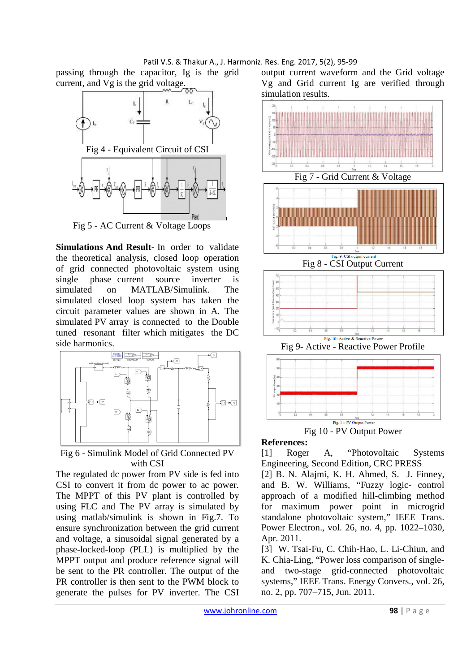#### Patil V.S. & Thakur A., J. Harmoniz. Res. Eng. 2017, 5(2), 95-99

passing through the capacitor, Ig is the grid current, and Vg is the grid voltage.



Fig 5 - AC Current & Voltage Loops

**Simulations And Result-** In order to validate the theoretical analysis, closed loop operation of grid connected photovoltaic system using single phase current source inverter is simulated on MATLAB/Simulink. The simulated closed loop system has taken the circuit parameter values are shown in A. The simulated PV array is connected to the Double tuned resonant filter which mitigates the DC side harmonics.



## Fig 6 - Simulink Model of Grid Connected PV with CSI

The regulated dc power from PV side is fed into CSI to convert it from dc power to ac power. The MPPT of this PV plant is controlled by using FLC and The PV array is simulated by using matlab/simulink is shown in Fig.7. To ensure synchronization between the grid current and voltage, a sinusoidal signal generated by a phase-locked-loop (PLL) is multiplied by the MPPT output and produce reference signal will be sent to the PR controller. The output of the PR controller is then sent to the PWM block to generate the pulses for PV inverter. The CSI output current waveform and the Grid voltage Vg and Grid current Ig are verified through simulation results.



### **References:**

[1] Roger A, "Photovoltaic Systems Engineering, Second Edition, CRC PRESS

[2] B. N. Alajmi, K. H. Ahmed, S. J. Finney, and B. W. Williams, "Fuzzy logic- control approach of a modified hill-climbing method for maximum power point in microgrid standalone photovoltaic system," IEEE Trans. Power Electron., vol. 26, no. 4, pp. 1022–1030, Apr. 2011.

[3] W. Tsai-Fu, C. Chih-Hao, L. Li-Chiun, and K. Chia-Ling, "Power loss comparison of singleand two-stage grid-connected photovoltaic systems," IEEE Trans. Energy Convers., vol. 26, no. 2, pp. 707–715, Jun. 2011.